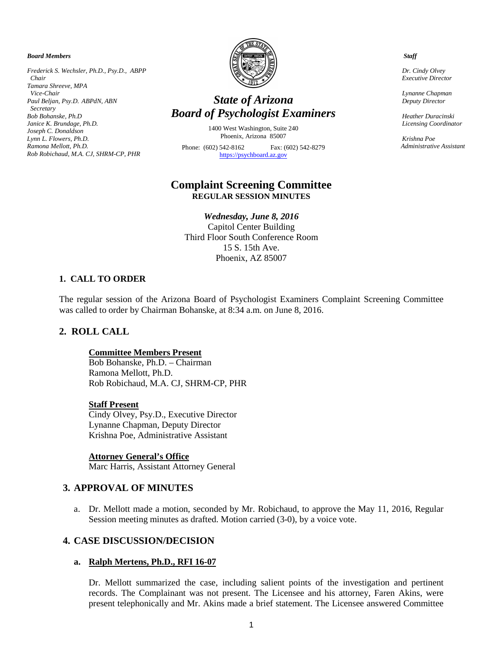#### *Board Members*

*Frederick S. Wechsler, Ph.D., Psy.D., ABPP Chair Tamara Shreeve, MPA Vice-Chair Paul Beljan, Psy.D. ABPdN, ABN Secretary Bob Bohanske, Ph.D Janice K. Brundage, Ph.D. Joseph C. Donaldson Lynn L. Flowers, Ph.D. Ramona Mellott, Ph.D. Rob Robichaud, M.A. CJ, SHRM-CP, PHR*



# *State of Arizona Board of Psychologist Examiners*

1400 West Washington, Suite 240 Phoenix, Arizona 85007 Phone: (602) 542-8162 Fax: (602) 542-8279 [https://psychboard.az.gov](https://psychboard.az.gov/)

## **Complaint Screening Committee REGULAR SESSION MINUTES**

*Wednesday, June 8, 2016* Capitol Center Building Third Floor South Conference Room 15 S. 15th Ave. Phoenix, AZ 85007

#### **1. CALL TO ORDER**

The regular session of the Arizona Board of Psychologist Examiners Complaint Screening Committee was called to order by Chairman Bohanske, at 8:34 a.m. on June 8, 2016.

## **2. ROLL CALL**

#### **Committee Members Present**

Bob Bohanske, Ph.D. – Chairman Ramona Mellott, Ph.D. Rob Robichaud, M.A. CJ, SHRM-CP, PHR

#### **Staff Present**

Cindy Olvey, Psy.D., Executive Director Lynanne Chapman, Deputy Director Krishna Poe, Administrative Assistant

#### **Attorney General's Office**

Marc Harris, Assistant Attorney General

## **3. APPROVAL OF MINUTES**

a. Dr. Mellott made a motion, seconded by Mr. Robichaud, to approve the May 11, 2016, Regular Session meeting minutes as drafted. Motion carried (3-0), by a voice vote.

#### **4. CASE DISCUSSION/DECISION**

#### **a. Ralph Mertens, Ph.D., RFI 16-07**

Dr. Mellott summarized the case, including salient points of the investigation and pertinent records. The Complainant was not present. The Licensee and his attorney, Faren Akins, were present telephonically and Mr. Akins made a brief statement. The Licensee answered Committee

 *Staff*

 *Dr. Cindy Olvey Executive Director*

 *Lynanne Chapman Deputy Director*

 *Heather Duracinski Licensing Coordinator* 

 *Krishna Poe Administrative Assistant*